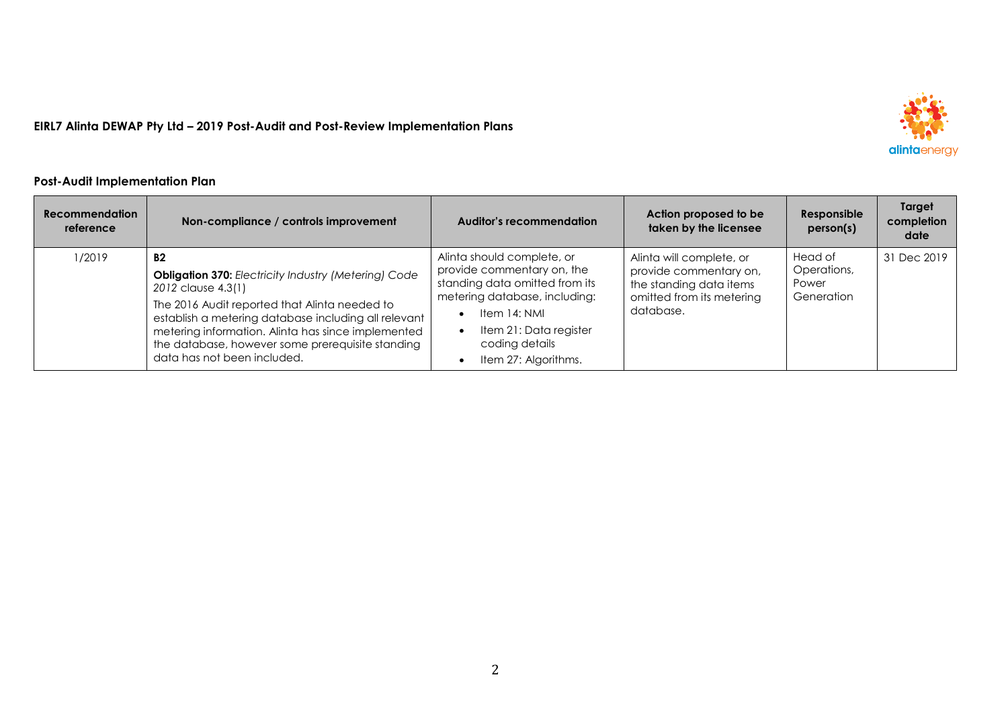

## **Post-Audit Implementation Plan**

| <b>Recommendation</b><br>reference | Non-compliance / controls improvement                                                                                                                                                                                                                                                                                                     | Auditor's recommendation                                                                                                                                                                                                     | Action proposed to be<br>taken by the licensee                                                                          | Responsible<br>person(s)                      | Target<br>completion<br>date |
|------------------------------------|-------------------------------------------------------------------------------------------------------------------------------------------------------------------------------------------------------------------------------------------------------------------------------------------------------------------------------------------|------------------------------------------------------------------------------------------------------------------------------------------------------------------------------------------------------------------------------|-------------------------------------------------------------------------------------------------------------------------|-----------------------------------------------|------------------------------|
| 1/2019                             | <b>B2</b><br>Obligation 370: Electricity Industry (Metering) Code<br>2012 clause 4.3(1)<br>The 2016 Audit reported that Alinta needed to<br>establish a metering database including all relevant<br>metering information. Alinta has since implemented<br>the database, however some prerequisite standing<br>data has not been included. | Alinta should complete, or<br>provide commentary on, the<br>standing data omitted from its<br>metering database, including:<br>Item 14: NMI<br>Item 21: Data register<br>$\bullet$<br>coding details<br>Item 27: Algorithms. | Alinta will complete, or<br>provide commentary on,<br>the standing data items<br>omitted from its metering<br>database. | Head of<br>Operations,<br>Power<br>Generation | 31 Dec 2019                  |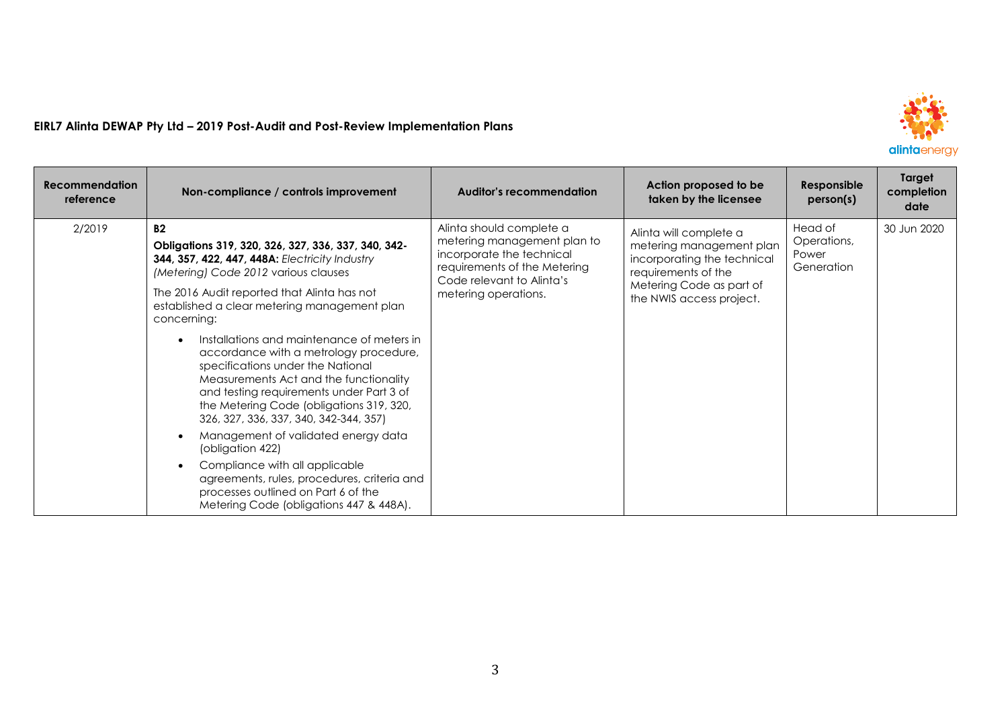

| <b>Recommendation</b><br>reference | Non-compliance / controls improvement                                                                                                                                                                                                                                                                 | <b>Auditor's recommendation</b>                                                                                                                                           | Action proposed to be<br>taken by the licensee                                                                                                                   | Responsible<br>person(s)                      | Target<br>completion<br>date |
|------------------------------------|-------------------------------------------------------------------------------------------------------------------------------------------------------------------------------------------------------------------------------------------------------------------------------------------------------|---------------------------------------------------------------------------------------------------------------------------------------------------------------------------|------------------------------------------------------------------------------------------------------------------------------------------------------------------|-----------------------------------------------|------------------------------|
| 2/2019                             | B2<br>Obligations 319, 320, 326, 327, 336, 337, 340, 342-<br><b>344, 357, 422, 447, 448A: Electricity Industry</b><br>(Metering) Code 2012 various clauses<br>The 2016 Audit reported that Alinta has not<br>established a clear metering management plan<br>concerning:                              | Alinta should complete a<br>metering management plan to<br>incorporate the technical<br>requirements of the Metering<br>Code relevant to Alinta's<br>metering operations. | Alinta will complete a<br>metering management plan<br>incorporating the technical<br>requirements of the<br>Metering Code as part of<br>the NWIS access project. | Head of<br>Operations,<br>Power<br>Generation | 30 Jun 2020                  |
|                                    | Installations and maintenance of meters in<br>accordance with a metrology procedure,<br>specifications under the National<br>Measurements Act and the functionality<br>and testing requirements under Part 3 of<br>the Metering Code (obligations 319, 320,<br>326, 327, 336, 337, 340, 342-344, 357) |                                                                                                                                                                           |                                                                                                                                                                  |                                               |                              |
|                                    | Management of validated energy data<br>(obligation 422)<br>Compliance with all applicable<br>agreements, rules, procedures, criteria and<br>processes outlined on Part 6 of the<br>Metering Code (obligations 447 & 448A).                                                                            |                                                                                                                                                                           |                                                                                                                                                                  |                                               |                              |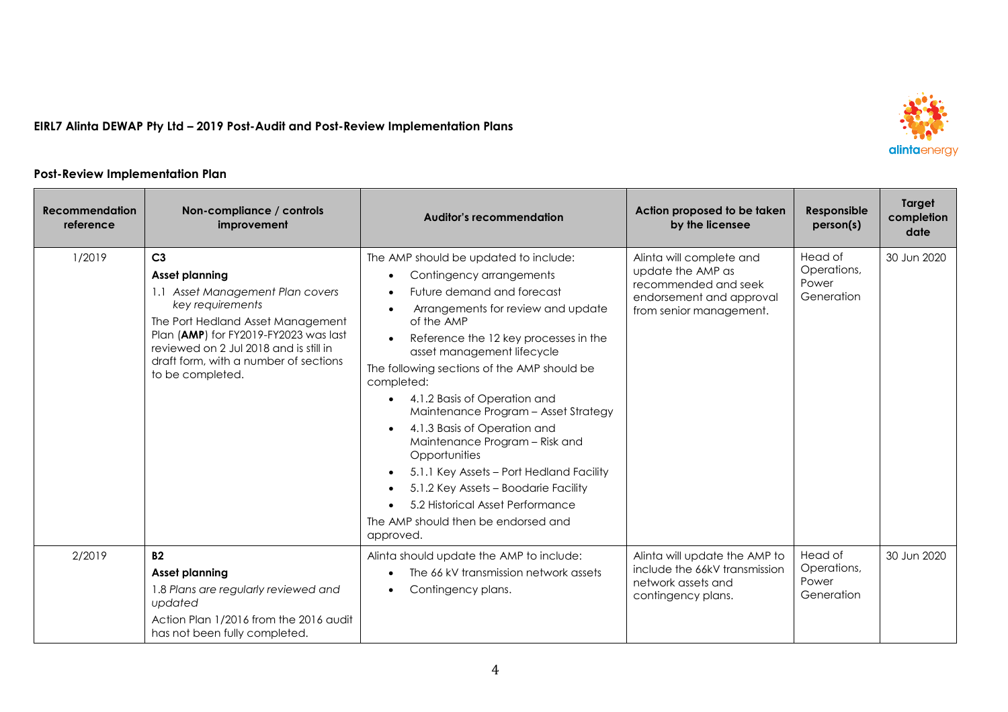

## **Post-Review Implementation Plan**

| <b>Recommendation</b><br>reference | Non-compliance / controls<br>improvement                                                                                                                                                                                                                                      | <b>Auditor's recommendation</b>                                                                                                                                                                                                                                                                                                                                                                                                                                                                                                                                                                                                             | Action proposed to be taken<br>by the licensee                                                                               | Responsible<br>person(s)                      | Target<br>completion<br>date |
|------------------------------------|-------------------------------------------------------------------------------------------------------------------------------------------------------------------------------------------------------------------------------------------------------------------------------|---------------------------------------------------------------------------------------------------------------------------------------------------------------------------------------------------------------------------------------------------------------------------------------------------------------------------------------------------------------------------------------------------------------------------------------------------------------------------------------------------------------------------------------------------------------------------------------------------------------------------------------------|------------------------------------------------------------------------------------------------------------------------------|-----------------------------------------------|------------------------------|
| 1/2019                             | C <sub>3</sub><br>Asset planning<br>1.1 Asset Management Plan covers<br>key requirements<br>The Port Hedland Asset Management<br>Plan (AMP) for FY2019-FY2023 was last<br>reviewed on 2 Jul 2018 and is still in<br>draft form, with a number of sections<br>to be completed. | The AMP should be updated to include:<br>Contingency arrangements<br>Future demand and forecast<br>Arrangements for review and update<br>of the AMP<br>Reference the 12 key processes in the<br>asset management lifecycle<br>The following sections of the AMP should be<br>completed:<br>4.1.2 Basis of Operation and<br>Maintenance Program - Asset Strategy<br>4.1.3 Basis of Operation and<br>Maintenance Program - Risk and<br>Opportunities<br>5.1.1 Key Assets - Port Hedland Facility<br>$\bullet$<br>5.1.2 Key Assets - Boodarie Facility<br>5.2 Historical Asset Performance<br>The AMP should then be endorsed and<br>approved. | Alinta will complete and<br>update the AMP as<br>recommended and seek<br>endorsement and approval<br>from senior management. | Head of<br>Operations,<br>Power<br>Generation | 30 Jun 2020                  |
| 2/2019                             | <b>B2</b><br><b>Asset planning</b><br>1.8 Plans are regularly reviewed and<br>updated<br>Action Plan 1/2016 from the 2016 audit<br>has not been fully completed.                                                                                                              | Alinta should update the AMP to include:<br>The 66 kV transmission network assets<br>Contingency plans.                                                                                                                                                                                                                                                                                                                                                                                                                                                                                                                                     | Alinta will update the AMP to<br>include the 66kV transmission<br>network assets and<br>contingency plans.                   | Head of<br>Operations,<br>Power<br>Generation | 30 Jun 2020                  |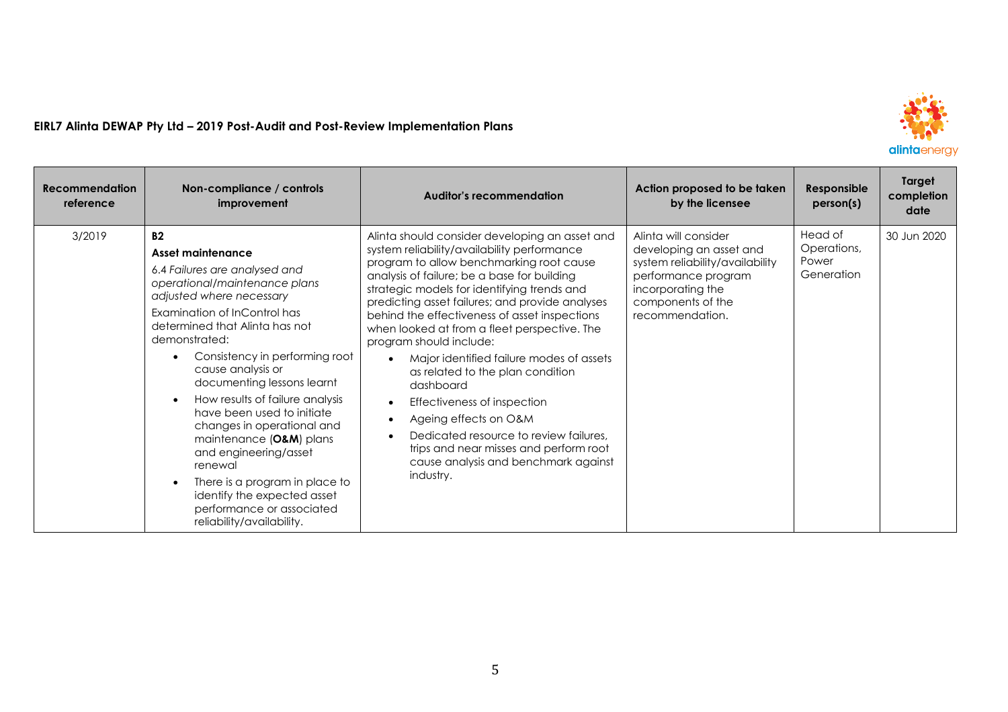

| <b>Recommendation</b><br>reference | Non-compliance / controls<br>improvement                                                                                                                                                                                                                                                                                                                                                                                                                                                                                                                                                                                | <b>Auditor's recommendation</b>                                                                                                                                                                                                                                                                                                                                                                                                                                                                                                                                                                                                                                                                                      | Action proposed to be taken<br>by the licensee                                                                                                                         | Responsible<br>person(s)                      | Target<br>completion<br>date |
|------------------------------------|-------------------------------------------------------------------------------------------------------------------------------------------------------------------------------------------------------------------------------------------------------------------------------------------------------------------------------------------------------------------------------------------------------------------------------------------------------------------------------------------------------------------------------------------------------------------------------------------------------------------------|----------------------------------------------------------------------------------------------------------------------------------------------------------------------------------------------------------------------------------------------------------------------------------------------------------------------------------------------------------------------------------------------------------------------------------------------------------------------------------------------------------------------------------------------------------------------------------------------------------------------------------------------------------------------------------------------------------------------|------------------------------------------------------------------------------------------------------------------------------------------------------------------------|-----------------------------------------------|------------------------------|
| 3/2019                             | <b>B2</b><br>Asset maintenance<br>6.4 Failures are analysed and<br>operational/maintenance plans<br>adjusted where necessary<br>Examination of InControl has<br>determined that Alinta has not<br>demonstrated:<br>Consistency in performing root<br>cause analysis or<br>documenting lessons learnt<br>How results of failure analysis<br>$\bullet$<br>have been used to initiate<br>changes in operational and<br>maintenance (O&M) plans<br>and engineering/asset<br>renewal<br>There is a program in place to<br>$\bullet$<br>identify the expected asset<br>performance or associated<br>reliability/availability. | Alinta should consider developing an asset and<br>system reliability/availability performance<br>program to allow benchmarking root cause<br>analysis of failure; be a base for building<br>strategic models for identifying trends and<br>predicting asset failures; and provide analyses<br>behind the effectiveness of asset inspections<br>when looked at from a fleet perspective. The<br>program should include:<br>Major identified failure modes of assets<br>as related to the plan condition<br>dashboard<br>Effectiveness of inspection<br>Ageing effects on O&M<br>Dedicated resource to review failures,<br>trips and near misses and perform root<br>cause analysis and benchmark against<br>industry. | Alinta will consider<br>developing an asset and<br>system reliability/availability<br>performance program<br>incorporating the<br>components of the<br>recommendation. | Head of<br>Operations,<br>Power<br>Generation | 30 Jun 2020                  |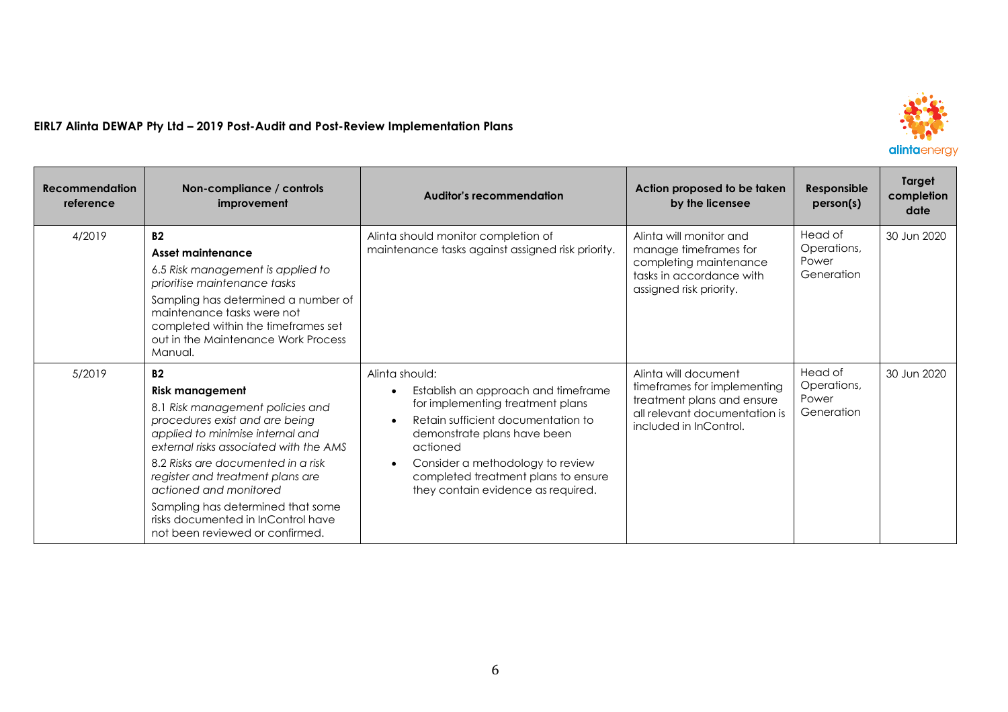

| <b>Recommendation</b><br>reference | Non-compliance / controls<br>improvement                                                                                                                                                                                                                                                                                                                                                                  | <b>Auditor's recommendation</b>                                                                                                                                                                                                                                                                          | Action proposed to be taken<br>by the licensee                                                                                               | Responsible<br>person(s)                      | Target<br>completion<br>date |
|------------------------------------|-----------------------------------------------------------------------------------------------------------------------------------------------------------------------------------------------------------------------------------------------------------------------------------------------------------------------------------------------------------------------------------------------------------|----------------------------------------------------------------------------------------------------------------------------------------------------------------------------------------------------------------------------------------------------------------------------------------------------------|----------------------------------------------------------------------------------------------------------------------------------------------|-----------------------------------------------|------------------------------|
| 4/2019                             | <b>B2</b><br>Asset maintenance<br>6.5 Risk management is applied to<br>prioritise maintenance tasks<br>Sampling has determined a number of<br>maintenance tasks were not<br>completed within the timeframes set<br>out in the Maintenance Work Process<br>Manual.                                                                                                                                         | Alinta should monitor completion of<br>maintenance tasks against assigned risk priority.                                                                                                                                                                                                                 | Alinta will monitor and<br>manage timeframes for<br>completing maintenance<br>tasks in accordance with<br>assigned risk priority.            | Head of<br>Operations,<br>Power<br>Generation | 30 Jun 2020                  |
| 5/2019                             | <b>B2</b><br><b>Risk management</b><br>8.1 Risk management policies and<br>procedures exist and are being<br>applied to minimise internal and<br>external risks associated with the AMS<br>8.2 Risks are documented in a risk<br>register and treatment plans are<br>actioned and monitored<br>Sampling has determined that some<br>risks documented in InControl have<br>not been reviewed or confirmed. | Alinta should:<br>Establish an approach and timeframe<br>for implementing treatment plans<br>Retain sufficient documentation to<br>demonstrate plans have been<br>actioned<br>Consider a methodology to review<br>$\bullet$<br>completed treatment plans to ensure<br>they contain evidence as required. | Alinta will document<br>timeframes for implementing<br>treatment plans and ensure<br>all relevant documentation is<br>included in InControl. | Head of<br>Operations,<br>Power<br>Generation | 30 Jun 2020                  |